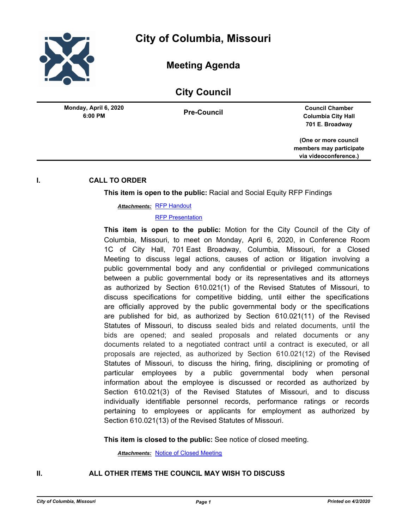

**Meeting Agenda**

# **City Council**

**6:00 PM Monday, April 6, 2020**

**Pre-Council Council Chamber Columbia City Hall 701 E. Broadway**

> **(One or more council members may participate via videoconference.)**

## **I. CALL TO ORDER**

**This item is open to the public:** Racial and Social Equity RFP Findings

<u>Attachments: [RFP Handout](http://gocolumbiamo.legistar.com/gateway.aspx?M=F&ID=223880e4-f3ca-445b-8ecc-089e0ef5cad2.docx)</u>

### [RFP Presentation](http://gocolumbiamo.legistar.com/gateway.aspx?M=F&ID=9a202a45-a078-48be-b94d-a97fc7c3d369.pptx)

**This item is open to the public:** Motion for the City Council of the City of Columbia, Missouri, to meet on Monday, April 6, 2020, in Conference Room 1C of City Hall, 701 East Broadway, Columbia, Missouri, for a Closed Meeting to discuss legal actions, causes of action or litigation involving a public governmental body and any confidential or privileged communications between a public governmental body or its representatives and its attorneys as authorized by Section 610.021(1) of the Revised Statutes of Missouri, to discuss specifications for competitive bidding, until either the specifications are officially approved by the public governmental body or the specifications are published for bid, as authorized by Section 610.021(11) of the Revised Statutes of Missouri, to discuss sealed bids and related documents, until the bids are opened; and sealed proposals and related documents or any documents related to a negotiated contract until a contract is executed, or all proposals are rejected, as authorized by Section 610.021(12) of the Revised Statutes of Missouri, to discuss the hiring, firing, disciplining or promoting of particular employees by a public governmental body when personal information about the employee is discussed or recorded as authorized by Section 610.021(3) of the Revised Statutes of Missouri, and to discuss individually identifiable personnel records, performance ratings or records pertaining to employees or applicants for employment as authorized by Section 610.021(13) of the Revised Statutes of Missouri.

**This item is closed to the public:** See notice of closed meeting.

*Attachments:* [Notice of Closed Meeting](http://gocolumbiamo.legistar.com/gateway.aspx?M=F&ID=35d73f53-b218-4336-aa4b-a2a24a3167d6.pdf)

# **II. ALL OTHER ITEMS THE COUNCIL MAY WISH TO DISCUSS**